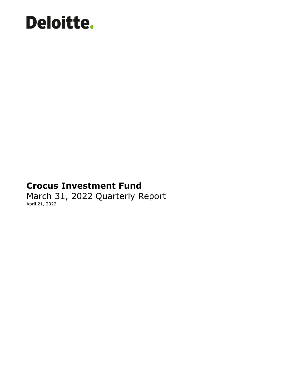# **Deloitte.**

### **Crocus Investment Fund**

March 31, 2022 Quarterly Report April 21, 2022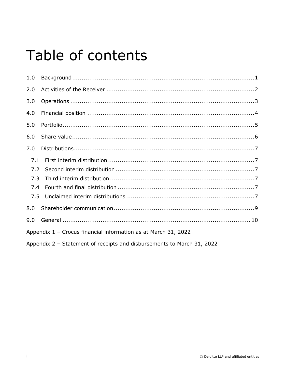### Table of contents

| 1.0                                                            |                                                                        |  |  |  |
|----------------------------------------------------------------|------------------------------------------------------------------------|--|--|--|
| 2.0                                                            |                                                                        |  |  |  |
| 3.0                                                            |                                                                        |  |  |  |
| 4.0                                                            |                                                                        |  |  |  |
| 5.0                                                            |                                                                        |  |  |  |
| 6.0                                                            |                                                                        |  |  |  |
| 7.0                                                            |                                                                        |  |  |  |
| 7.1                                                            |                                                                        |  |  |  |
| 7.2<br>7.3                                                     |                                                                        |  |  |  |
| 7.4                                                            |                                                                        |  |  |  |
| 7.5                                                            |                                                                        |  |  |  |
| 8.0                                                            |                                                                        |  |  |  |
| 9.0                                                            |                                                                        |  |  |  |
| Appendix 1 - Crocus financial information as at March 31, 2022 |                                                                        |  |  |  |
|                                                                | Appendix 2 - Statement of receipts and disbursements to March 31, 2022 |  |  |  |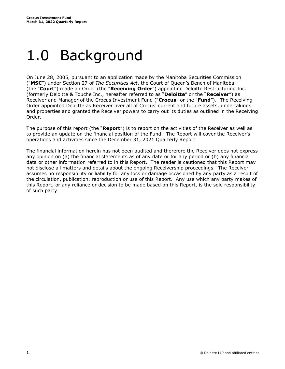### <span id="page-2-0"></span>1.0 Background

On June 28, 2005, pursuant to an application made by the Manitoba Securities Commission ("**MSC**") under Section 27 of *The Securities Act*, the Court of Queen's Bench of Manitoba (the "**Court**") made an Order (the "**Receiving Order**") appointing Deloitte Restructuring Inc. (formerly Deloitte & Touche Inc., hereafter referred to as "**Deloitte**" or the "**Receiver**") as Receiver and Manager of the Crocus Investment Fund ("**Crocus**" or the "**Fund**"). The Receiving Order appointed Deloitte as Receiver over all of Crocus' current and future assets, undertakings and properties and granted the Receiver powers to carry out its duties as outlined in the Receiving Order.

The purpose of this report (the "**Report**") is to report on the activities of the Receiver as well as to provide an update on the financial position of the Fund. The Report will cover the Receiver's operations and activities since the December 31, 2021 Quarterly Report.

The financial information herein has not been audited and therefore the Receiver does not express any opinion on (a) the financial statements as of any date or for any period or (b) any financial data or other information referred to in this Report. The reader is cautioned that this Report may not disclose all matters and details about the ongoing Receivership proceedings. The Receiver assumes no responsibility or liability for any loss or damage occasioned by any party as a result of the circulation, publication, reproduction or use of this Report. Any use which any party makes of this Report, or any reliance or decision to be made based on this Report, is the sole responsibility of such party.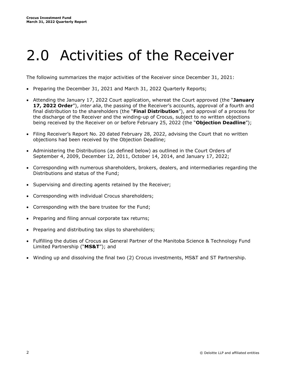### <span id="page-3-0"></span>2.0 Activities of the Receiver

The following summarizes the major activities of the Receiver since December 31, 2021:

- Preparing the December 31, 2021 and March 31, 2022 Quarterly Reports;
- Attending the January 17, 2022 Court application, whereat the Court approved (the "**January 17, 2022 Order**"), *inter alia*, the passing of the Receiver's accounts, approval of a fourth and final distribution to the shareholders (the "**Final Distribution**"), and approval of a process for the discharge of the Receiver and the winding-up of Crocus, subject to no written objections being received by the Receiver on or before February 25, 2022 (the "**Objection Deadline**");
- Filing Receiver's Report No. 20 dated February 28, 2022, advising the Court that no written objections had been received by the Objection Deadline;
- Administering the Distributions (as defined below) as outlined in the Court Orders of September 4, 2009, December 12, 2011, October 14, 2014, and January 17, 2022;
- Corresponding with numerous shareholders, brokers, dealers, and intermediaries regarding the Distributions and status of the Fund;
- Supervising and directing agents retained by the Receiver;
- Corresponding with individual Crocus shareholders;
- Corresponding with the bare trustee for the Fund;
- Preparing and filing annual corporate tax returns;
- Preparing and distributing tax slips to shareholders;
- Fulfilling the duties of Crocus as General Partner of the Manitoba Science & Technology Fund Limited Partnership ("**MS&T**"); and
- Winding up and dissolving the final two (2) Crocus investments, MS&T and ST Partnership.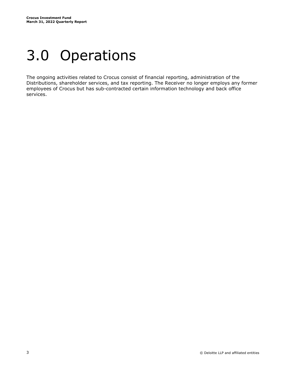### <span id="page-4-0"></span>3.0 Operations

The ongoing activities related to Crocus consist of financial reporting, administration of the Distributions, shareholder services, and tax reporting. The Receiver no longer employs any former employees of Crocus but has sub-contracted certain information technology and back office services.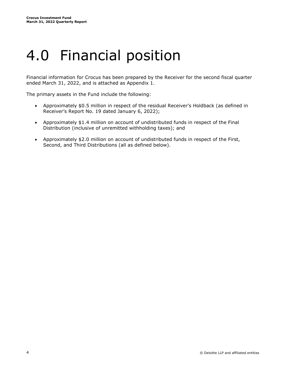### <span id="page-5-0"></span>4.0 Financial position

Financial information for Crocus has been prepared by the Receiver for the second fiscal quarter ended March 31, 2022, and is attached as Appendix 1.

The primary assets in the Fund include the following:

- Approximately \$0.5 million in respect of the residual Receiver's Holdback (as defined in Receiver's Report No. 19 dated January 6, 2022);
- Approximately \$1.4 million on account of undistributed funds in respect of the Final Distribution (inclusive of unremitted withholding taxes); and
- Approximately \$2.0 million on account of undistributed funds in respect of the First, Second, and Third Distributions (all as defined below).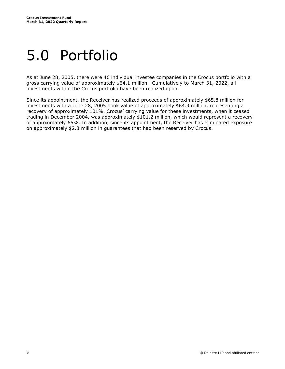### <span id="page-6-0"></span>5.0 Portfolio

As at June 28, 2005, there were 46 individual investee companies in the Crocus portfolio with a gross carrying value of approximately \$64.1 million. Cumulatively to March 31, 2022, all investments within the Crocus portfolio have been realized upon.

Since its appointment, the Receiver has realized proceeds of approximately \$65.8 million for investments with a June 28, 2005 book value of approximately \$64.9 million, representing a recovery of approximately 101%. Crocus' carrying value for these investments, when it ceased trading in December 2004, was approximately \$101.2 million, which would represent a recovery of approximately 65%. In addition, since its appointment, the Receiver has eliminated exposure on approximately \$2.3 million in guarantees that had been reserved by Crocus.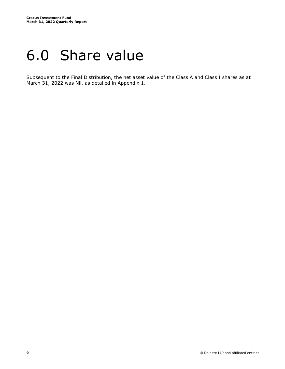### <span id="page-7-0"></span>6.0 Share value

Subsequent to the Final Distribution, the net asset value of the Class A and Class I shares as at March 31, 2022 was Nil, as detailed in Appendix 1.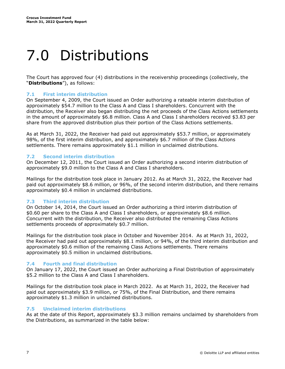## <span id="page-8-0"></span>7.0 Distributions

The Court has approved four (4) distributions in the receivership proceedings (collectively, the "**Distributions**"), as follows:

#### <span id="page-8-1"></span>**7.1 First interim distribution**

On September 4, 2009, the Court issued an Order authorizing a rateable interim distribution of approximately \$54.7 million to the Class A and Class I shareholders. Concurrent with the distribution, the Receiver also began distributing the net proceeds of the Class Actions settlements in the amount of approximately \$6.8 million. Class A and Class I shareholders received \$3.83 per share from the approved distribution plus their portion of the Class Actions settlements.

As at March 31, 2022, the Receiver had paid out approximately \$53.7 million, or approximately 98%, of the first interim distribution, and approximately \$6.7 million of the Class Actions settlements. There remains approximately \$1.1 million in unclaimed distributions.

#### <span id="page-8-2"></span>**7.2 Second interim distribution**

On December 12, 2011, the Court issued an Order authorizing a second interim distribution of approximately \$9.0 million to the Class A and Class I shareholders.

Mailings for the distribution took place in January 2012. As at March 31, 2022, the Receiver had paid out approximately \$8.6 million, or 96%, of the second interim distribution, and there remains approximately \$0.4 million in unclaimed distributions.

#### <span id="page-8-3"></span>**7.3 Third interim distribution**

On October 14, 2014, the Court issued an Order authorizing a third interim distribution of \$0.60 per share to the Class A and Class I shareholders, or approximately \$8.6 million. Concurrent with the distribution, the Receiver also distributed the remaining Class Actions settlements proceeds of approximately \$0.7 million.

Mailings for the distribution took place in October and November 2014. As at March 31, 2022, the Receiver had paid out approximately \$8.1 million, or 94%, of the third interim distribution and approximately \$0.6 million of the remaining Class Actions settlements. There remains approximately \$0.5 million in unclaimed distributions.

#### <span id="page-8-4"></span>**7.4 Fourth and final distribution**

On January 17, 2022, the Court issued an Order authorizing a Final Distribution of approximately \$5.2 million to the Class A and Class I shareholders.

Mailings for the distribution took place in March 2022. As at March 31, 2022, the Receiver had paid out approximately \$3.9 million, or 75%, of the Final Distribution, and there remains approximately \$1.3 million in unclaimed distributions.

#### <span id="page-8-5"></span>**7.5 Unclaimed interim distributions**

As at the date of this Report, approximately \$3.3 million remains unclaimed by shareholders from the Distributions, as summarized in the table below: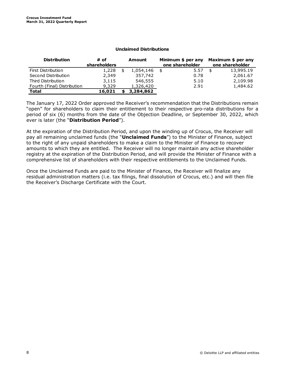| <b>Distribution</b>         | # of         | Amount    | Minimum \$ per any | Maximum \$ per any |
|-----------------------------|--------------|-----------|--------------------|--------------------|
|                             | shareholders |           | one shareholder    | one shareholder    |
| First Distribution          | 1,228        | 1,054,146 | \$<br>5.57         | \$<br>13,995.19    |
| Second Distribution         | 2,349        | 357,742   | 0.78               | 2,061.67           |
| Third Distribution          | 3,115        | 546,555   | 5.10               | 2,109.98           |
| Fourth (Final) Distribution | 9,329        | 1,326,420 | 2.91               | 1,484.62           |
| <b>Total</b>                | 16,021       | 3,284,862 |                    |                    |

The January 17, 2022 Order approved the Receiver's recommendation that the Distributions remain "open" for shareholders to claim their entitlement to their respective pro-rata distributions for a period of six (6) months from the date of the Objection Deadline, or September 30, 2022, which ever is later (the "**Distribution Period**").

At the expiration of the Distribution Period, and upon the winding up of Crocus, the Receiver will pay all remaining unclaimed funds (the "**Unclaimed Funds**") to the Minister of Finance, subject to the right of any unpaid shareholders to make a claim to the Minister of Finance to recover amounts to which they are entitled. The Receiver will no longer maintain any active shareholder registry at the expiration of the Distribution Period, and will provide the Minister of Finance with a comprehensive list of shareholders with their respective entitlements to the Unclaimed Funds.

Once the Unclaimed Funds are paid to the Minister of Finance, the Receiver will finalize any residual administration matters (i.e. tax filings, final dissolution of Crocus, etc.) and will then file the Receiver's Discharge Certificate with the Court.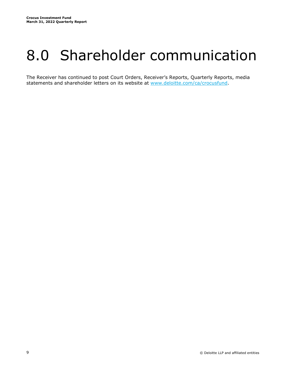### <span id="page-10-0"></span>8.0 Shareholder communication

The Receiver has continued to post Court Orders, Receiver's Reports, Quarterly Reports, media statements and shareholder letters on its website at [www.deloitte.com/ca/crocusfund.](http://www.deloitte.com/ca/crocusfund)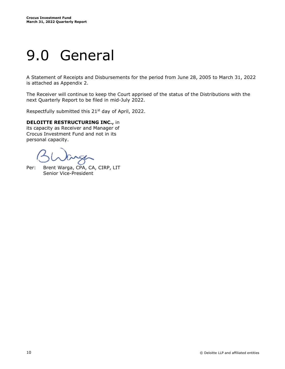### <span id="page-11-0"></span>9.0 General

A Statement of Receipts and Disbursements for the period from June 28, 2005 to March 31, 2022 is attached as Appendix 2.

The Receiver will continue to keep the Court apprised of the status of the Distributions with the next Quarterly Report to be filed in mid-July 2022.

Respectfully submitted this 21<sup>st</sup> day of April, 2022.

#### **DELOITTE RESTRUCTURING INC.,** in

its capacity as Receiver and Manager of Crocus Investment Fund and not in its personal capacity.

Per: Brent Warga, CPA, CA, CIRP, LIT Senior Vice-President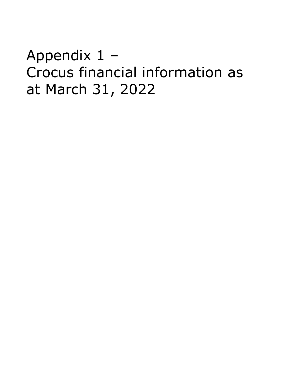<span id="page-12-0"></span>Appendix 1 – Crocus financial information as at March 31, 2022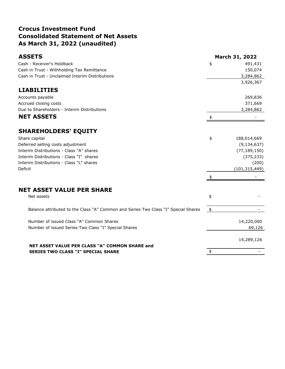#### **Crocus Investment Fund Consolidated Statement of Net Assets As March 31, 2022 (unaudited)**

| <b>ASSETS</b>                                                                               |               | <b>March 31, 2022</b> |
|---------------------------------------------------------------------------------------------|---------------|-----------------------|
| Cash - Receiver's Holdback                                                                  | \$            | 491,431               |
| Cash in Trust - Withholding Tax Remittance                                                  |               | 150,074               |
| Cash in Trust - Unclaimed Interim Distributions                                             |               | 3,284,862             |
|                                                                                             |               | 3,926,367             |
| <b>LIABILITIES</b>                                                                          |               |                       |
| Accounts payable                                                                            |               | 269,836               |
| Accrued closing costs                                                                       |               | 371,669               |
| Due to Shareholders - Interim Distributions                                                 |               | 3,284,862             |
| <b>NET ASSETS</b>                                                                           | \$            |                       |
| <b>SHAREHOLDERS' EQUITY</b>                                                                 |               |                       |
| Share capital                                                                               | \$            | 188,014,669           |
| Deferred selling costs adjustment                                                           |               | (9, 134, 637)         |
| Interim Distributions - Class "A" shares                                                    |               | (77, 189, 150)        |
| Interim Distributions - Class "I" shares                                                    |               | (375, 233)            |
| Interim Distributions - Class "L" shares                                                    |               | (200)                 |
| Deficit                                                                                     |               | (101, 315, 449)       |
|                                                                                             |               |                       |
| <b>NET ASSET VALUE PER SHARE</b>                                                            |               |                       |
| Net assets                                                                                  | \$            |                       |
| Balance attributed to the Class "A" Common and Series Two Class "I" Special Shares          | $\frac{1}{2}$ |                       |
| Number of issued Class "A" Common Shares                                                    |               | 14,220,000            |
| Number of issued Series Two Class "I" Special Shares                                        |               | 69,126                |
|                                                                                             |               | 14,289,126            |
| NET ASSET VALUE PER CLASS "A" COMMON SHARE and<br><b>SERIES TWO CLASS "I" SPECIAL SHARE</b> | \$            |                       |
|                                                                                             |               |                       |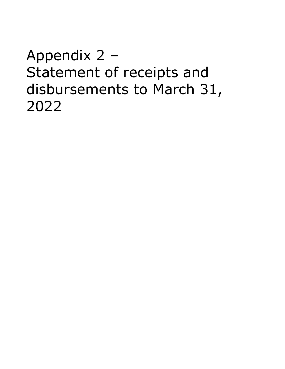<span id="page-14-0"></span>Appendix 2 – Statement of receipts and disbursements to March 31, 2022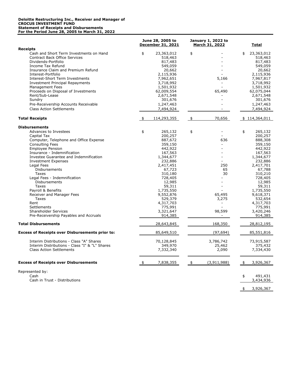#### **Deloitte Restructuring Inc., Receiver and Manager of CROCUS INVESTMENT FUND Statement of Receipts and Disbursements For the Period June 28, 2005 to March 31, 2022**

|                                                                                                                                                                                                                                                                                                                                                                                                                  | June 28, 2005 to<br><b>December 31, 2021</b>                                                                                                                                                                    | <b>January 1, 2022 to</b><br>March 31, 2022     | Total                                                                                                                                                                                                           |
|------------------------------------------------------------------------------------------------------------------------------------------------------------------------------------------------------------------------------------------------------------------------------------------------------------------------------------------------------------------------------------------------------------------|-----------------------------------------------------------------------------------------------------------------------------------------------------------------------------------------------------------------|-------------------------------------------------|-----------------------------------------------------------------------------------------------------------------------------------------------------------------------------------------------------------------|
| <b>Receipts</b>                                                                                                                                                                                                                                                                                                                                                                                                  |                                                                                                                                                                                                                 |                                                 |                                                                                                                                                                                                                 |
| Cash and Short Term Investments on Hand<br><b>Contract Back Office Services</b><br>Dividends-Portfolio<br>Income Tax Refund<br>Insurance Claim and Premium Refund<br>Interest-Portfolio<br>Interest-Short Term Investments<br><b>Investment Principal Repayments</b><br>Management Fees<br>Proceeds on Disposal of Investments                                                                                   | \$<br>23,363,012<br>518,463<br>817,483<br>549,059<br>20,662<br>2,115,936<br>7,962,651<br>3,718,992<br>1,501,932<br>62,009,554                                                                                   | \$<br>5,166<br>65,490                           | 23,363,012<br>\$<br>518,463<br>817,483<br>549,059<br>20,662<br>2,115,936<br>7,967,817<br>3,718,992<br>1,501,932<br>62,075,044                                                                                   |
| Rent/Sub-Lease                                                                                                                                                                                                                                                                                                                                                                                                   | 2,671,548                                                                                                                                                                                                       |                                                 | 2,671,548                                                                                                                                                                                                       |
| Sundry                                                                                                                                                                                                                                                                                                                                                                                                           | 301,676                                                                                                                                                                                                         |                                                 | 301,676                                                                                                                                                                                                         |
| Pre-Receivership Accounts Receivable                                                                                                                                                                                                                                                                                                                                                                             | 1,247,463                                                                                                                                                                                                       |                                                 | 1,247,463                                                                                                                                                                                                       |
| <b>Class Action Settlements</b>                                                                                                                                                                                                                                                                                                                                                                                  | 7,494,924                                                                                                                                                                                                       |                                                 | 7,494,924                                                                                                                                                                                                       |
| <b>Total Receipts</b>                                                                                                                                                                                                                                                                                                                                                                                            | 114,293,355<br>\$                                                                                                                                                                                               | _\$<br>70,656                                   | \$114,364,011                                                                                                                                                                                                   |
| <b>Disbursements</b>                                                                                                                                                                                                                                                                                                                                                                                             |                                                                                                                                                                                                                 |                                                 |                                                                                                                                                                                                                 |
| Advances to Investees<br>Capital Tax<br>Computer, Telephone and Office Expense<br><b>Consulting Fees</b><br><b>Employee Pension</b><br>Insurance - Indemnification<br>Investee Guarantee and Indemnification<br><b>Investment Expenses</b><br>Legal Fees<br>Disbursements<br>Taxes<br>Legal Fees - Indemnification<br>Disbursements<br>Taxes<br>Payroll & Benefits<br>Receiver and Manager Fees<br>Taxes<br>Rent | 265,132<br>\$<br>200,257<br>887,672<br>359,150<br>442,922<br>167,563<br>1,344,677<br>232,886<br>2,417,451<br>67,723<br>310,180<br>728,405<br>12,985<br>59,311<br>1,735,550<br>9,552,876<br>529,379<br>4,317,703 | \$<br>636<br>250<br>65<br>30<br>65,495<br>3,275 | 265,132<br>\$<br>200,257<br>888,308<br>359,150<br>442,922<br>167,563<br>1,344,677<br>232,886<br>2,417,701<br>67,788<br>310,210<br>728,405<br>12,985<br>59,311<br>1,735,550<br>9,618,371<br>532,654<br>4,317,703 |
| Settlements                                                                                                                                                                                                                                                                                                                                                                                                      | 775,991                                                                                                                                                                                                         |                                                 | 775,991                                                                                                                                                                                                         |
| <b>Shareholder Services</b><br>Pre-Receivership Payables and Accruals                                                                                                                                                                                                                                                                                                                                            | 3,321,647<br>914,385                                                                                                                                                                                            | 98,599                                          | 3,420,246<br>914,385                                                                                                                                                                                            |
| <b>Total Disbursements</b>                                                                                                                                                                                                                                                                                                                                                                                       | 28,643,845                                                                                                                                                                                                      | 168,350                                         | 28,812,195                                                                                                                                                                                                      |
| <b>Excess of Receipts over Disbursements prior to:</b>                                                                                                                                                                                                                                                                                                                                                           | 85,649,510                                                                                                                                                                                                      | (97, 694)                                       | 85,551,816                                                                                                                                                                                                      |
| Interim Distributions - Class "A" Shares<br>Interim Distributions - Class "I" & "L" Shares<br><b>Class Action Settlements</b>                                                                                                                                                                                                                                                                                    | 70,128,845<br>349,970<br>7,332,340                                                                                                                                                                              | 3,786,742<br>25,462<br>2,090                    | 73,915,587<br>375,432<br>7,334,430                                                                                                                                                                              |
| <b>Excess of Receipts over Disbursements</b>                                                                                                                                                                                                                                                                                                                                                                     | 7,838,355<br>\$                                                                                                                                                                                                 | (3, 911, 988)<br>\$                             | 3,926,367                                                                                                                                                                                                       |
| Represented by:                                                                                                                                                                                                                                                                                                                                                                                                  |                                                                                                                                                                                                                 |                                                 |                                                                                                                                                                                                                 |
| Cash<br>Cash in Trust - Distributions                                                                                                                                                                                                                                                                                                                                                                            |                                                                                                                                                                                                                 |                                                 | \$<br>491,431<br>3,434,936                                                                                                                                                                                      |
|                                                                                                                                                                                                                                                                                                                                                                                                                  |                                                                                                                                                                                                                 |                                                 | 3,926,367                                                                                                                                                                                                       |